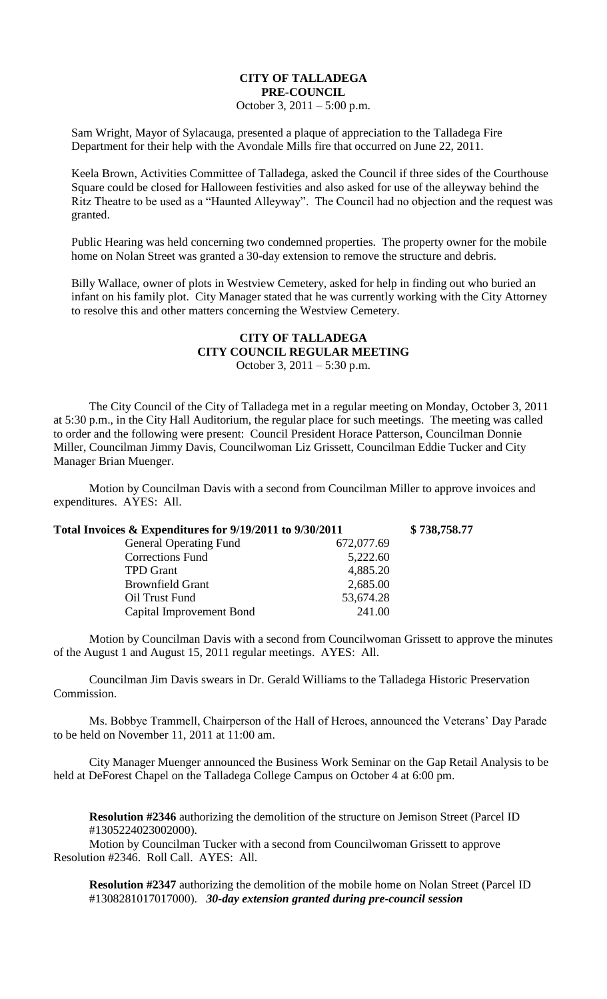## **CITY OF TALLADEGA PRE-COUNCIL** October 3, 2011 – 5:00 p.m.

Sam Wright, Mayor of Sylacauga, presented a plaque of appreciation to the Talladega Fire Department for their help with the Avondale Mills fire that occurred on June 22, 2011.

Keela Brown, Activities Committee of Talladega, asked the Council if three sides of the Courthouse Square could be closed for Halloween festivities and also asked for use of the alleyway behind the Ritz Theatre to be used as a "Haunted Alleyway". The Council had no objection and the request was granted.

Public Hearing was held concerning two condemned properties. The property owner for the mobile home on Nolan Street was granted a 30-day extension to remove the structure and debris.

Billy Wallace, owner of plots in Westview Cemetery, asked for help in finding out who buried an infant on his family plot. City Manager stated that he was currently working with the City Attorney to resolve this and other matters concerning the Westview Cemetery.

## **CITY OF TALLADEGA CITY COUNCIL REGULAR MEETING** October 3, 2011 – 5:30 p.m.

The City Council of the City of Talladega met in a regular meeting on Monday, October 3, 2011 at 5:30 p.m., in the City Hall Auditorium, the regular place for such meetings. The meeting was called to order and the following were present: Council President Horace Patterson, Councilman Donnie Miller, Councilman Jimmy Davis, Councilwoman Liz Grissett, Councilman Eddie Tucker and City Manager Brian Muenger.

Motion by Councilman Davis with a second from Councilman Miller to approve invoices and expenditures. AYES: All.

| Total Invoices & Expenditures for 9/19/2011 to 9/30/2011 |            | \$738,758.77 |
|----------------------------------------------------------|------------|--------------|
| <b>General Operating Fund</b>                            | 672,077.69 |              |
| <b>Corrections Fund</b>                                  | 5,222.60   |              |
| <b>TPD</b> Grant                                         | 4,885.20   |              |
| <b>Brownfield Grant</b>                                  | 2,685.00   |              |
| Oil Trust Fund                                           | 53,674.28  |              |
| Capital Improvement Bond                                 | 241.00     |              |

Motion by Councilman Davis with a second from Councilwoman Grissett to approve the minutes of the August 1 and August 15, 2011 regular meetings. AYES: All.

Councilman Jim Davis swears in Dr. Gerald Williams to the Talladega Historic Preservation Commission.

Ms. Bobbye Trammell, Chairperson of the Hall of Heroes, announced the Veterans' Day Parade to be held on November 11, 2011 at 11:00 am.

City Manager Muenger announced the Business Work Seminar on the Gap Retail Analysis to be held at DeForest Chapel on the Talladega College Campus on October 4 at 6:00 pm.

**Resolution #2346** authorizing the demolition of the structure on Jemison Street (Parcel ID #1305224023002000).

Motion by Councilman Tucker with a second from Councilwoman Grissett to approve Resolution #2346. Roll Call. AYES: All.

**Resolution #2347** authorizing the demolition of the mobile home on Nolan Street (Parcel ID #1308281017017000). *30-day extension granted during pre-council session*